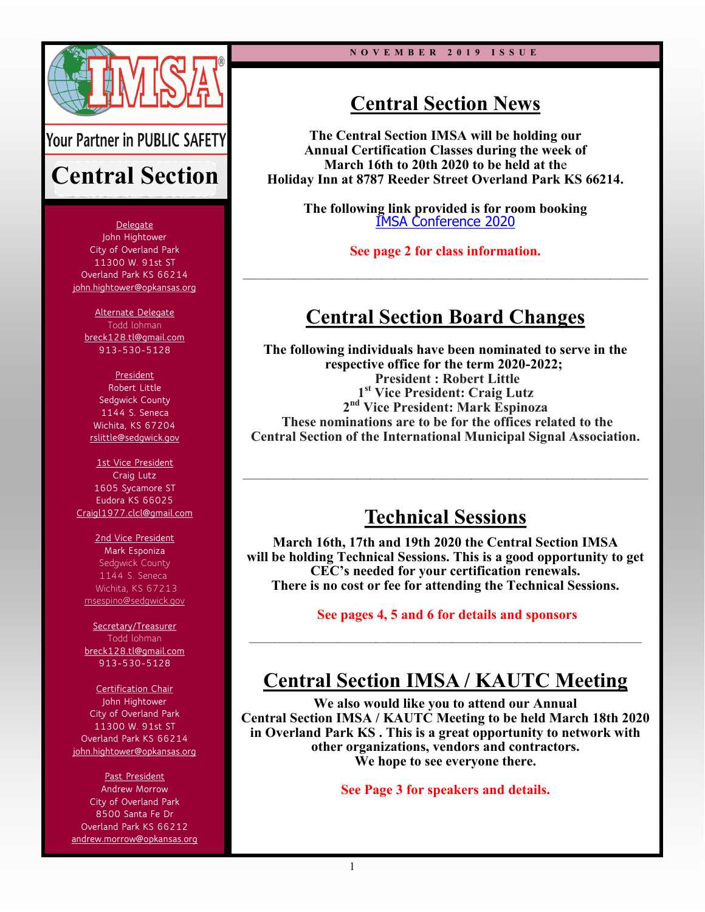

**Your Partner in PUBLIC SAFETY** 

## **Central Section**

**Delegate John Hightower City of Overland Park 11300 W. 91st ST Overland Park KS 66214 [john.hightower@opkansas.org](mailto:john.hightower@opkansas.org)**

**Alternate Delegate** Todd lohman **[breck128.tl@gmail.com](mailto:breck128.tl@gmail.com) 913-530-5128**

**President Robert Little Sedgwick County 1144 S. Seneca Wichita, KS 67204 [rslittle@sedgwick.gov](mailto:rslittle@sedgwick.gov)**

**1st Vice President Craig Lutz 1605 Sycamore ST Eudora KS 66025 Craigl1977.cl[cl@gmail.com](mailto:craigl1977.cl@gmail.com?subject=Central%20Section%20IMSA)**

**2nd Vice President Mark Esponiza** Sedgwick County 1144 S. Seneca Wichita, KS 67213 [msespino@sedgwick.gov](mailto:msespino@sedgwick.gov)

**Secretary/Treasurer** Todd lohman **[breck128.tl@gmail.com](mailto:breck128.tl@gmail.com) 913-530-5128**

**Certification Chair John Hightower City of Overland Park 11300 W. 91st ST Overland Park KS 66214 [john.hightower@opkansas.org](mailto:john.hightower@opkansas.org)**

**Past President Andrew Morrow City of Overland Park 8500 Santa Fe Dr Overland Park KS 66212 [andrew.morrow@opkansas.org](mailto:andrew.morrow@opkansas.org)**

## **Central Section News**

**The Central Section IMSA will be holding our Annual Certification Classes during the week of March 16th to 20th 2020 to be held at th**e **Holiday Inn at 8787 Reeder Street Overland Park KS 66214.** 

> **The following link provided is for room booking** [IMSA Conference 2020](https://www.holidayinn.com/redirect?path=rates&brandCode=HI&localeCode=en®ionCode=1&hotelCode=MKCPK&checkInDate=15&checkInMonthYear=022020&checkOutDate=20&checkOutMonthYear=022020&_PMID=99801505&GPC=IMS&cn=no&viewfullsite=true)

> > **See page 2 for class information.**

————————————————————————————————

## **Central Section Board Changes**

**The following individuals have been nominated to serve in the respective office for the term 2020-2022; President : Robert Little 1 st Vice President: Craig Lutz 2 nd Vice President: Mark Espinoza These nominations are to be for the offices related to the Central Section of the International Municipal Signal Association.** 

## **Technical Sessions**

————————————————————————————————

**March 16th, 17th and 19th 2020 the Central Section IMSA will be holding Technical Sessions. This is a good opportunity to get CEC's needed for your certification renewals. There is no cost or fee for attending the Technical Sessions.**

**See pages 4, 5 and 6 for details and sponsors**

———————————————————————————————

## **Central Section IMSA / KAUTC Meeting**

**We also would like you to attend our Annual Central Section IMSA / KAUTC Meeting to be held March 18th 2020 in Overland Park KS . This is a great opportunity to network with other organizations, vendors and contractors. We hope to see everyone there.** 

**See Page 3 for speakers and details.**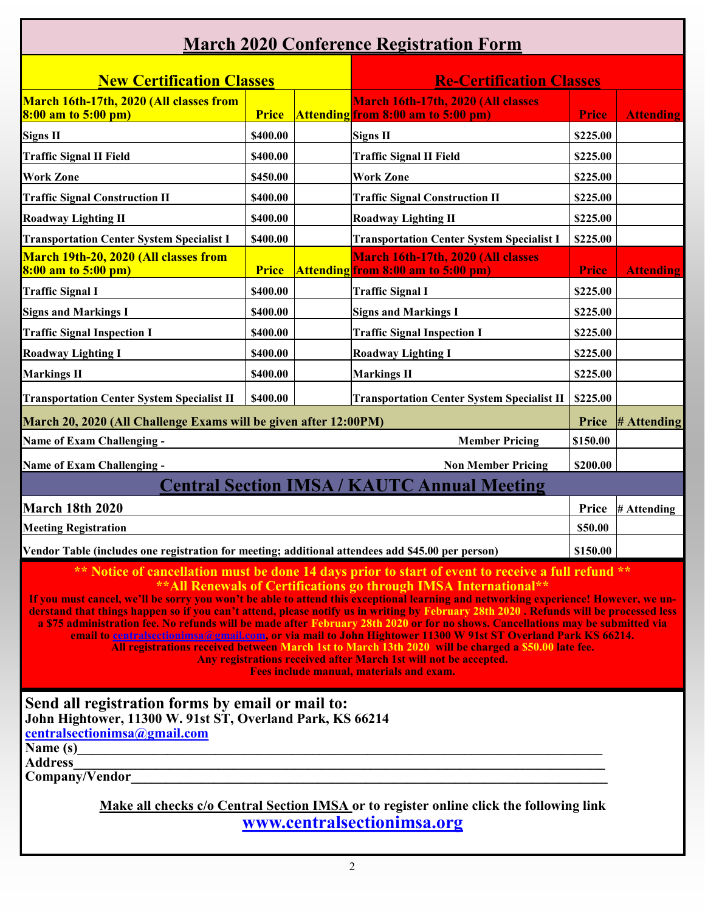## **March 2020 Conference Registration Form**

| <b>New Certification Classes</b>                                                                                                                                                                                                                                                                               |              |  | <b>Re-Certification Classes</b>                                                 |              |                  |
|----------------------------------------------------------------------------------------------------------------------------------------------------------------------------------------------------------------------------------------------------------------------------------------------------------------|--------------|--|---------------------------------------------------------------------------------|--------------|------------------|
| March 16th-17th, 2020 (All classes from<br>$8:00$ am to 5:00 pm)                                                                                                                                                                                                                                               | <b>Price</b> |  | March 16th-17th, 2020 (All classes<br><b>Attending</b> from 8:00 am to 5:00 pm) | <b>Price</b> | <b>Attending</b> |
| <b>Signs II</b>                                                                                                                                                                                                                                                                                                | \$400.00     |  | <b>Signs II</b>                                                                 | \$225.00     |                  |
| <b>Traffic Signal II Field</b>                                                                                                                                                                                                                                                                                 | \$400.00     |  | <b>Traffic Signal II Field</b>                                                  | \$225.00     |                  |
| <b>Work Zone</b>                                                                                                                                                                                                                                                                                               | \$450.00     |  | <b>Work Zone</b>                                                                | \$225.00     |                  |
| <b>Traffic Signal Construction II</b>                                                                                                                                                                                                                                                                          | \$400.00     |  | <b>Traffic Signal Construction II</b>                                           | \$225.00     |                  |
| <b>Roadway Lighting II</b>                                                                                                                                                                                                                                                                                     | \$400.00     |  | <b>Roadway Lighting II</b>                                                      | \$225.00     |                  |
| <b>Transportation Center System Specialist I</b>                                                                                                                                                                                                                                                               | \$400.00     |  | <b>Transportation Center System Specialist I</b>                                | \$225.00     |                  |
| March 19th-20, 2020 (All classes from<br>$8:00$ am to 5:00 pm)                                                                                                                                                                                                                                                 | <b>Price</b> |  | March 16th-17th, 2020 (All classes<br>Attending from 8:00 am to 5:00 pm)        | <b>Price</b> | <b>Attending</b> |
| <b>Traffic Signal I</b>                                                                                                                                                                                                                                                                                        | \$400.00     |  | <b>Traffic Signal I</b>                                                         | \$225.00     |                  |
| <b>Signs and Markings I</b>                                                                                                                                                                                                                                                                                    | \$400.00     |  | <b>Signs and Markings I</b>                                                     | \$225.00     |                  |
| <b>Traffic Signal Inspection I</b>                                                                                                                                                                                                                                                                             | \$400.00     |  | <b>Traffic Signal Inspection I</b>                                              | \$225.00     |                  |
| <b>Roadway Lighting I</b>                                                                                                                                                                                                                                                                                      | \$400.00     |  | <b>Roadway Lighting I</b>                                                       | \$225.00     |                  |
| <b>Markings II</b>                                                                                                                                                                                                                                                                                             | \$400.00     |  | <b>Markings II</b>                                                              | \$225.00     |                  |
| <b>Transportation Center System Specialist II</b>                                                                                                                                                                                                                                                              | \$400.00     |  | <b>Transportation Center System Specialist II</b>                               | \$225.00     |                  |
| March 20, 2020 (All Challenge Exams will be given after 12:00PM)                                                                                                                                                                                                                                               |              |  |                                                                                 | <b>Price</b> | # Attending      |
| <b>Name of Exam Challenging -</b><br><b>Member Pricing</b>                                                                                                                                                                                                                                                     |              |  |                                                                                 | \$150.00     |                  |
| <b>Name of Exam Challenging -</b>                                                                                                                                                                                                                                                                              |              |  | <b>Non Member Pricing</b>                                                       | \$200.00     |                  |
| <b>Central Section IMSA / KAUTC Annual Meeting</b>                                                                                                                                                                                                                                                             |              |  |                                                                                 |              |                  |
| <b>March 18th 2020</b>                                                                                                                                                                                                                                                                                         |              |  |                                                                                 | <b>Price</b> | # Attending      |
| <b>Meeting Registration</b>                                                                                                                                                                                                                                                                                    |              |  |                                                                                 | \$50.00      |                  |
| Vendor Table (includes one registration for meeting; additional attendees add \$45.00 per person)                                                                                                                                                                                                              |              |  |                                                                                 | \$150.00     |                  |
| ** Notice of cancellation must be done 14 days prior to start of event to receive a full refund **<br>** All Renewals of Certifications go through IMSA International**<br>If you must cancel, we'll be sorry you won't be able to attend this exceptional learning and networking experience! However, we un- |              |  |                                                                                 |              |                  |

**derstand that things happen so if you can't attend, please notify us in writing by February 28th 2020 . Refunds will be processed less a \$75 administration fee. No refunds will be made after February 28th 2020 or for no shows. Cancellations may be submitted via email to [centralsectionimsa@gmail.com,](mailto:centralsectionimsa@gmail.com?subject=Class%20Cancellations) or via mail to John Hightower 11300 W 91st ST Overland Park KS 66214. All registrations received between March 1st to March 13th 2020 will be charged a \$50.00 late fee.** 

**Any registrations received after March 1st will not be accepted.**

**Fees include manual, materials and exam.** 

**Send all registration forms by email or mail to: John Hightower, 11300 W. 91st ST, Overland Park, KS 66214 [centralsectionimsa@gmail.com](mailto:centralsectionimsa@gmail.com?subject=Class%20Registrations)**

**Name (s) Name (s)** *n n n* **<b>***n n n n n n n n n n n n n n n n n n n n n n n n n n n n n n n* 

**Address\_\_\_\_\_\_\_\_\_\_\_\_\_\_\_\_\_\_\_\_\_\_\_\_\_\_\_\_\_\_\_\_\_\_\_\_\_\_\_\_\_\_\_\_\_\_\_\_\_\_\_\_\_\_\_\_\_\_\_\_\_\_\_\_\_\_\_\_\_\_\_\_\_\_\_\_\_**

 $Company/Vendor$ 

**Make all checks c/o Central Section IMSA or to register online click the following link [www.centralsectionimsa.org](http://www.centralsectionimsa.org/)**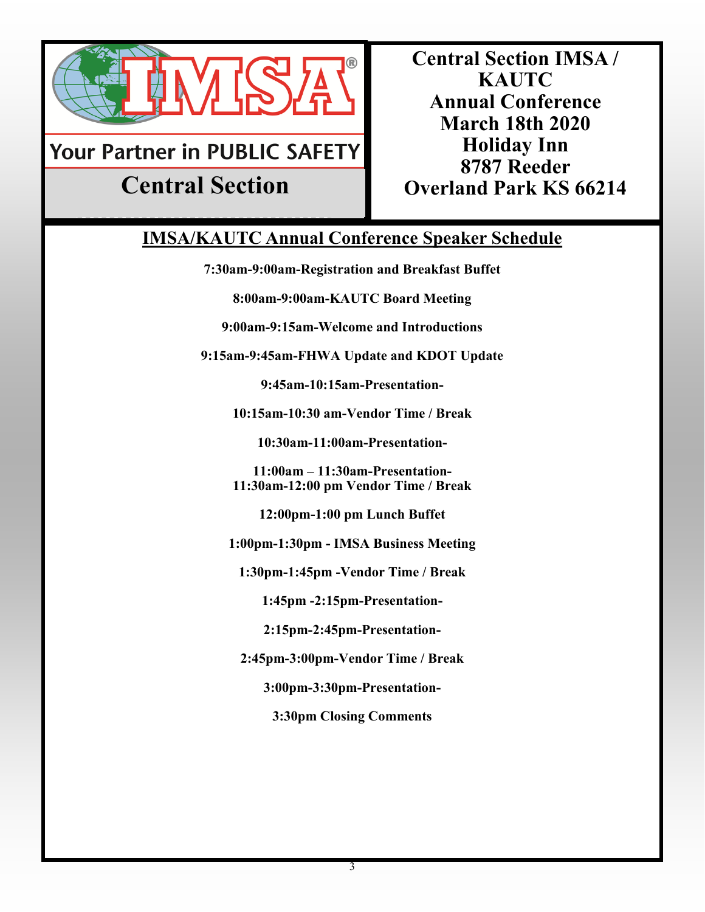

# **Your Partner in PUBLIC SAFETY**

**Central Section IMSA / KAUTC Annual Conference March 18th 2020 Holiday Inn 8787 Reeder Central Section Overland Park KS 66214** 

## **IMSA/KAUTC Annual Conference Speaker Schedule**

| 7:30am-9:00am-Registration and Breakfast Buffet                           |
|---------------------------------------------------------------------------|
| 8:00am-9:00am-KAUTC Board Meeting                                         |
| 9:00am-9:15am-Welcome and Introductions                                   |
| 9:15am-9:45am-FHWA Update and KDOT Update                                 |
| 9:45am-10:15am-Presentation-                                              |
| 10:15am-10:30 am-Vendor Time / Break                                      |
| 10:30am-11:00am-Presentation-                                             |
| $11:00am - 11:30am-Presentation-$<br>11:30am-12:00 pm Vendor Time / Break |
| 12:00pm-1:00 pm Lunch Buffet                                              |
| 1:00pm-1:30pm - IMSA Business Meeting                                     |
| 1:30pm-1:45pm - Vendor Time / Break                                       |
| 1:45pm -2:15pm-Presentation-                                              |
| 2:15pm-2:45pm-Presentation-                                               |
| 2:45pm-3:00pm-Vendor Time / Break                                         |
| 3:00pm-3:30pm-Presentation-                                               |
| <b>3:30pm Closing Comments</b>                                            |
|                                                                           |
|                                                                           |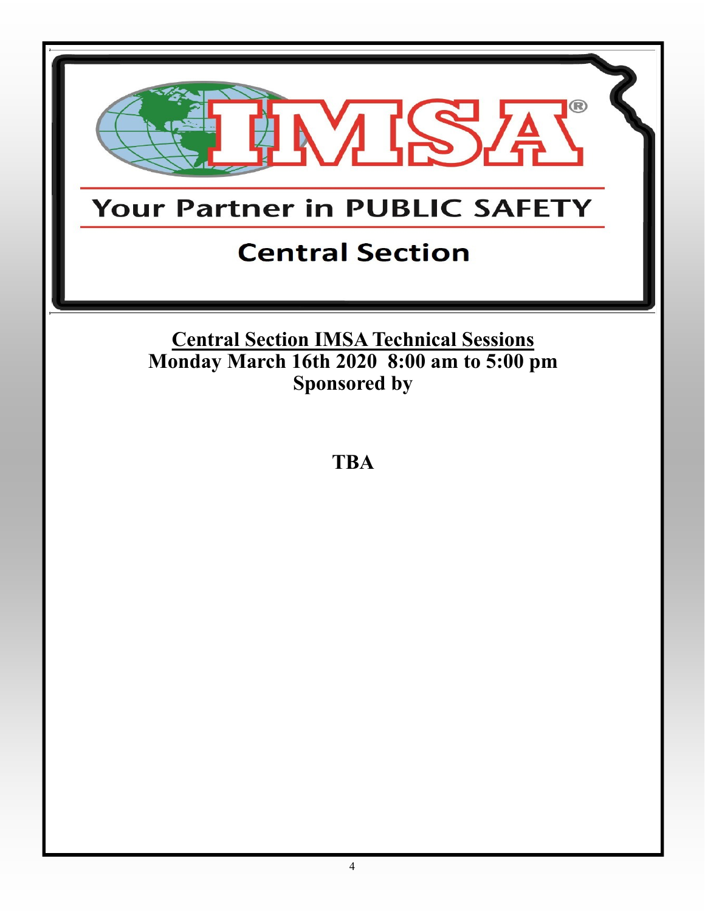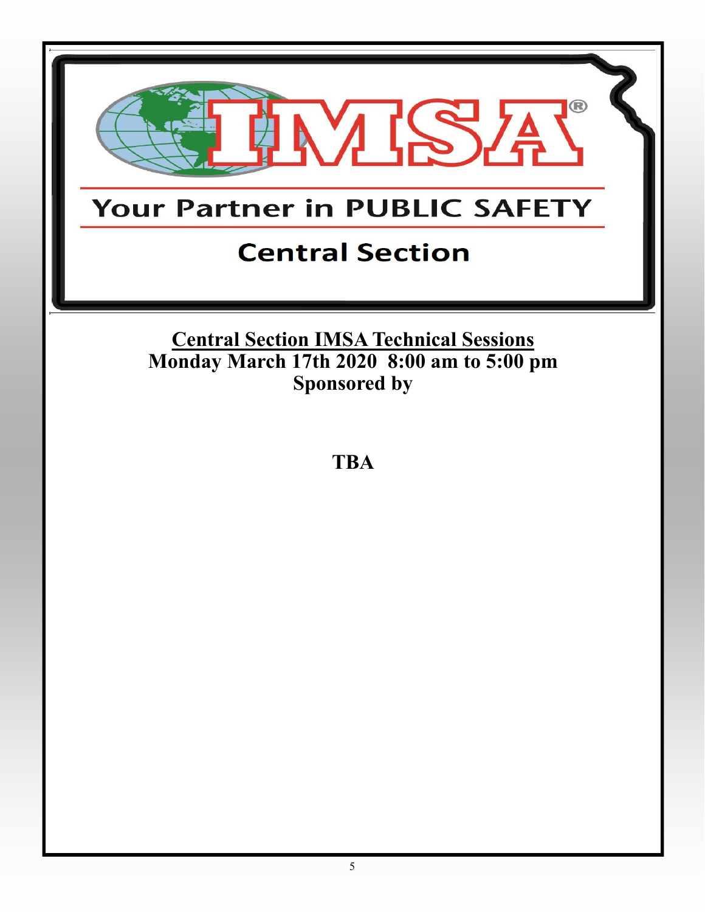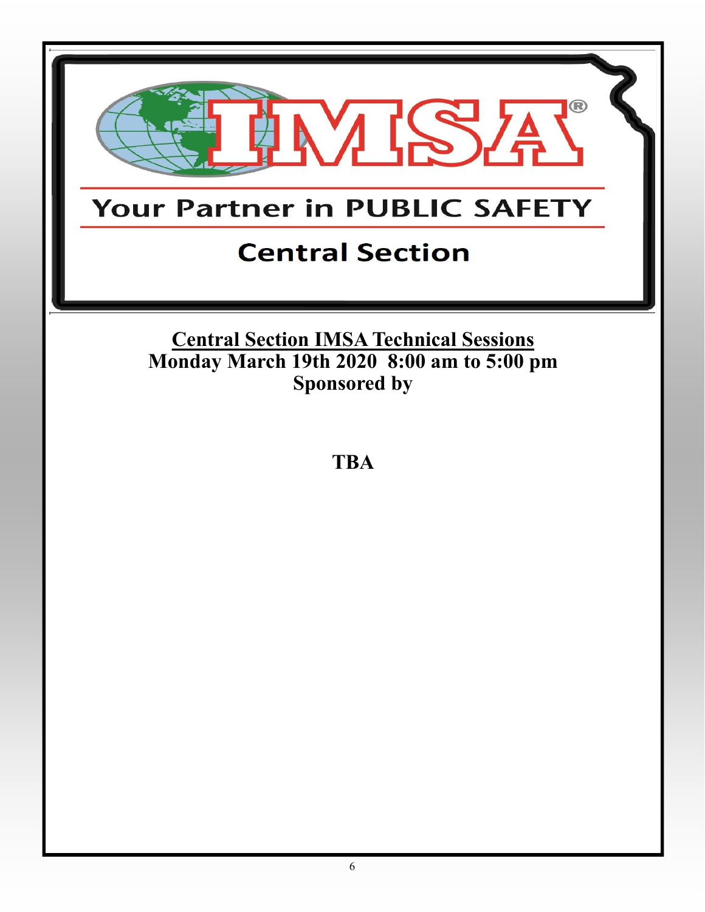